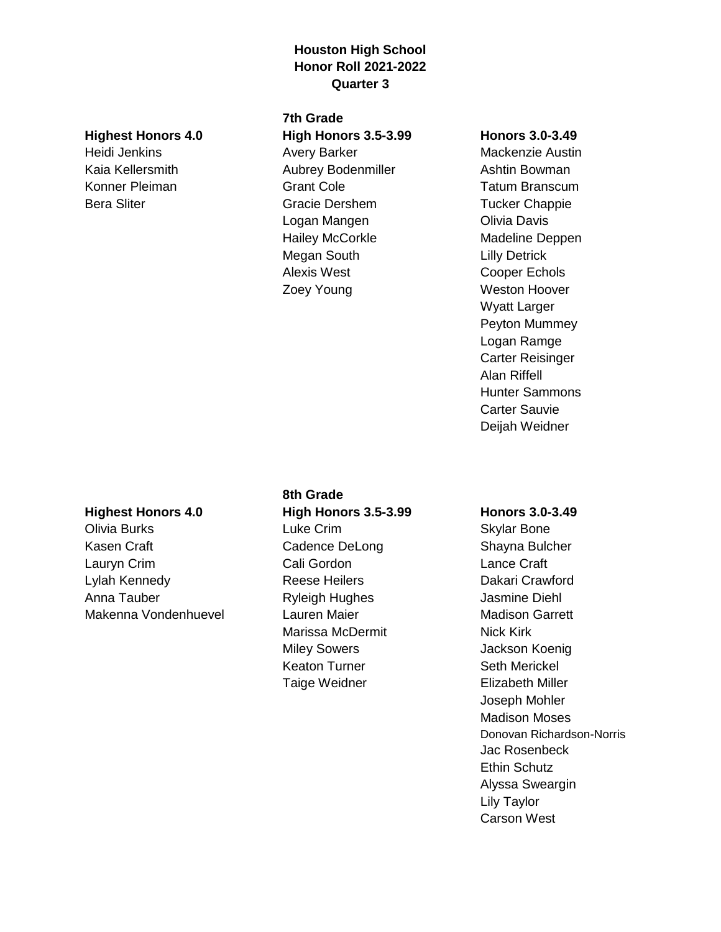## **Houston High School Honor Roll 2021-2022 Quarter 3**

#### **Highest Honors 4.0**

Heidi Jenkins Kaia Kellersmith Konner Pleiman Bera Sliter

## **7th Grade High Honors 3.5-3.99**

Avery Barker Aubrey Bodenmiller Grant Cole Gracie Dershem Logan Mangen Hailey McCorkle Megan South Alexis West Zoey Young

#### **Honors 3.0-3.49**

Mackenzie Austin Ashtin Bowman Tatum Branscum Tucker Chappie Olivia Davis Madeline Deppen Lilly Detrick Cooper Echols Weston Hoover Wyatt Larger Peyton Mummey Logan Ramge Carter Reisinger Alan Riffell Hunter Sammons Carter Sauvie Deijah Weidner

## **Highest Honors 4.0**

Olivia Burks Kasen Craft Lauryn Crim Lylah Kennedy Anna Tauber Makenna Vondenhuevel

# **8th Grade High Honors 3.5-3.99** Luke Crim Cadence DeLong Cali Gordon Reese Heilers Ryleigh Hughes Lauren Maier Marissa McDermit Miley Sowers Keaton Turner Taige Weidner

#### **Honors 3.0-3.49**

Skylar Bone Shayna Bulcher Lance Craft Dakari Crawford Jasmine Diehl Madison Garrett Nick Kirk Jackson Koenig Seth Merickel Elizabeth Miller Joseph Mohler Madison Moses Donovan Richardson-Norris Jac Rosenbeck Ethin Schutz Alyssa Sweargin Lily Taylor Carson West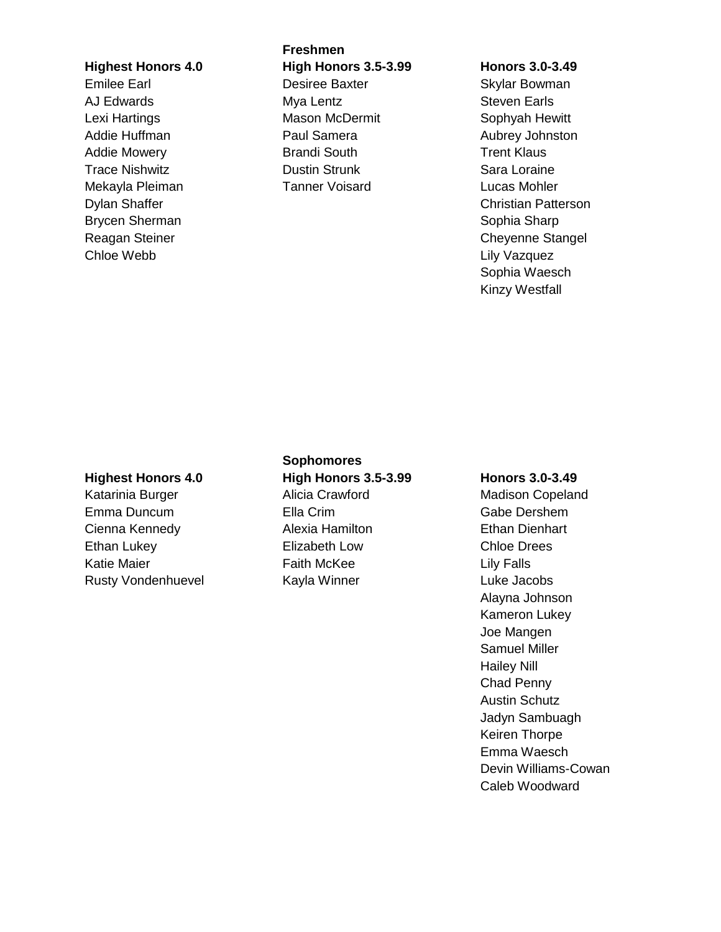### **Highest Honors 4.0**

Emilee Earl AJ Edwards Lexi Hartings Addie Huffman Addie Mowery Trace Nishwitz Mekayla Pleiman Dylan Shaffer Brycen Sherman Reagan Steiner Chloe Webb

**Freshmen High Honors 3.5-3.99** Desiree Baxter Mya Lentz Mason McDermit Paul Samera Brandi South Dustin Strunk Tanner Voisard

#### **Honors 3.0-3.49**

Skylar Bowman Steven Earls Sophyah Hewitt Aubrey Johnston Trent Klaus Sara Loraine Lucas Mohler Christian Patterson Sophia Sharp Cheyenne Stangel Lily Vazquez Sophia Waesch Kinzy Westfall

#### **Highest Honors 4.0**

Katarinia Burger Emma Duncum Cienna Kennedy Ethan Lukey Katie Maier Rusty Vondenhuevel

# **Sophomores High Honors 3.5-3.99** Alicia Crawford Ella Crim Alexia Hamilton Elizabeth Low

Faith McKee Kayla Winner

#### **Honors 3.0-3.49**

Madison Copeland Gabe Dershem Ethan Dienhart Chloe Drees Lily Falls Luke Jacobs Alayna Johnson Kameron Lukey Joe Mangen Samuel Miller Hailey Nill Chad Penny Austin Schutz Jadyn Sambuagh Keiren Thorpe Emma Waesch Devin Williams-Cowan Caleb Woodward